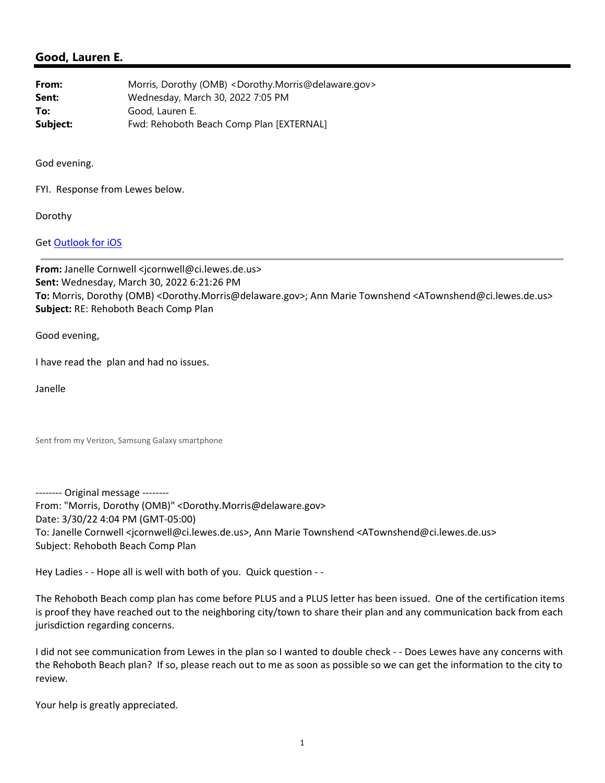## **Good, Lauren E.**

| From:    | Morris, Dorothy (OMB) <dorothy.morris@delaware.gov></dorothy.morris@delaware.gov> |
|----------|-----------------------------------------------------------------------------------|
| Sent:    | Wednesday, March 30, 2022 7:05 PM                                                 |
| To:      | Good, Lauren E.                                                                   |
| Subject: | Fwd: Rehoboth Beach Comp Plan [EXTERNAL]                                          |

God evening.

FYI. Response from Lewes below.

Dorothy

Get Outlook for iOS

**From:** Janelle Cornwell <jcornwell@ci.lewes.de.us> **Sent:** Wednesday, March 30, 2022 6:21:26 PM **To:** Morris, Dorothy (OMB) <Dorothy.Morris@delaware.gov>; Ann Marie Townshend <ATownshend@ci.lewes.de.us> **Subject:** RE: Rehoboth Beach Comp Plan

Good evening,

I have read the plan and had no issues.

Janelle

Sent from my Verizon, Samsung Galaxy smartphone

‐‐‐‐‐‐‐‐ Original message ‐‐‐‐‐‐‐‐ From: "Morris, Dorothy (OMB)" <Dorothy.Morris@delaware.gov> Date: 3/30/22 4:04 PM (GMT‐05:00) To: Janelle Cornwell <jcornwell@ci.lewes.de.us>, Ann Marie Townshend <ATownshend@ci.lewes.de.us> Subject: Rehoboth Beach Comp Plan

Hey Ladies - - Hope all is well with both of you. Quick question - -

The Rehoboth Beach comp plan has come before PLUS and a PLUS letter has been issued. One of the certification items is proof they have reached out to the neighboring city/town to share their plan and any communication back from each jurisdiction regarding concerns.

I did not see communication from Lewes in the plan so I wanted to double check - - Does Lewes have any concerns with the Rehoboth Beach plan? If so, please reach out to me as soon as possible so we can get the information to the city to review.

Your help is greatly appreciated.